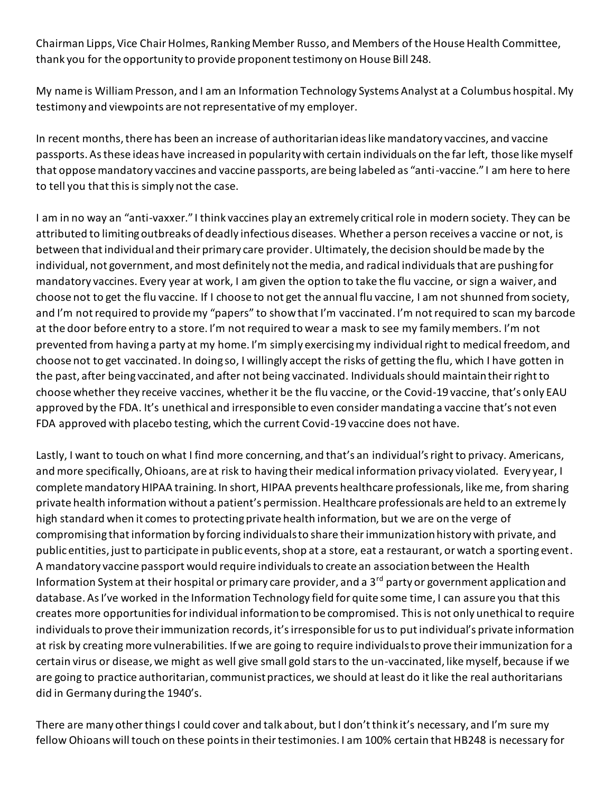Chairman Lipps, Vice Chair Holmes, Ranking Member Russo, and Members of the House Health Committee, thank you for the opportunity to provide proponent testimony on House Bill 248.

My name is William Presson, and I am an Information Technology Systems Analyst at a Columbus hospital. My testimony and viewpoints are not representative of my employer.

In recent months, there has been an increase of authoritarian ideas like mandatory vaccines, and vaccine passports. As these ideas have increased in popularity with certain individuals on the far left, those like myself that oppose mandatory vaccines and vaccine passports, are being labeled as "anti-vaccine." I am here to here to tell you that this is simply not the case.

I am in no way an "anti-vaxxer." I think vaccines play an extremely critical role in modern society. They can be attributed to limiting outbreaks of deadly infectious diseases. Whether a person receives a vaccine or not, is between that individual and their primary care provider. Ultimately, the decision should be made by the individual, not government, and most definitely not the media, and radical individuals that are pushing for mandatory vaccines. Every year at work, I am given the option to take the flu vaccine, or sign a waiver, and choose not to get the flu vaccine. If I choose to not get the annual flu vaccine, I am not shunned from society, and I'm not required to provide my "papers" to show that I'm vaccinated. I'm not required to scan my barcode at the door before entry to a store. I'm not required to wear a mask to see my family members. I'm not prevented from having a party at my home. I'm simply exercising my individual right to medical freedom, and choose not to get vaccinated. In doing so, I willingly accept the risks of getting the flu, which I have gotten in the past, after being vaccinated, and after not being vaccinated. Individuals should maintain their right to choose whether they receive vaccines, whether it be the flu vaccine, or the Covid-19 vaccine, that's only EAU approved by the FDA. It's unethical and irresponsible to even consider mandating a vaccine that's not even FDA approved with placebo testing, which the current Covid-19 vaccine does not have.

Lastly, I want to touch on what I find more concerning, and that's an individual's right to privacy. Americans, and more specifically, Ohioans, are at risk to having their medical information privacy violated. Every year, I complete mandatory HIPAA training. In short, HIPAA prevents healthcare professionals, like me, from sharing private health information without a patient's permission. Healthcare professionals are held to an extremely high standard when it comes to protecting private health information, but we are on the verge of compromising that information by forcing individuals to share their immunization history with private, and public entities, just to participate in public events, shop at a store, eat a restaurant, or watch a sporting event. A mandatory vaccine passport would require individuals to create an association between the Health Information System at their hospital or primary care provider, and a 3<sup>rd</sup> party or government application and database. As I've worked in the Information Technology field for quite some time, I can assure you that this creates more opportunities for individual information to be compromised. This is not only unethical to require individuals to prove their immunization records, it's irresponsible for us to put individual's private information at risk by creating more vulnerabilities. If we are going to require individuals to prove their immunization for a certain virus or disease, we might as well give small gold stars to the un-vaccinated, like myself, because if we are going to practice authoritarian, communist practices, we should at least do it like the real authoritarians did in Germany during the 1940's.

There are many other things I could cover and talk about, but I don't think it's necessary, and I'm sure my fellow Ohioans will touch on these points in their testimonies. I am 100% certain that HB248 is necessary for